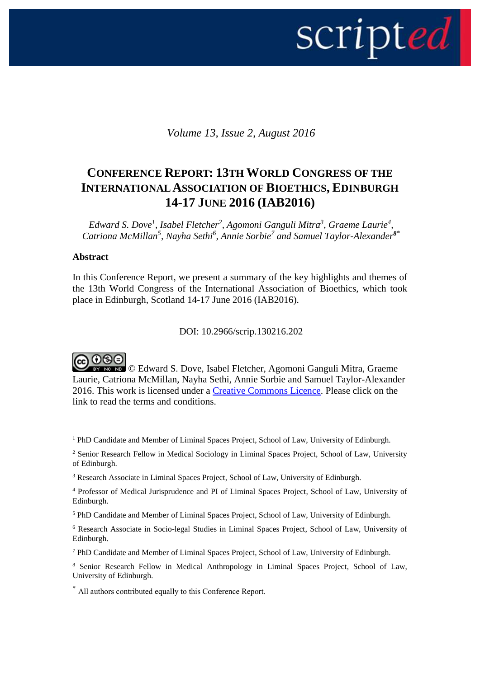

*Volume 13, Issue 2, August 2016*

# **CONFERENCE REPORT: 13TH WORLD CONGRESS OF THE INTERNATIONAL ASSOCIATION OF BIOETHICS, EDINBURGH 14-17 JUNE 2016 (IAB2016)**

Edward S. Dove<sup>1</sup>, Isabel Fletcher<sup>2</sup>, Agomoni Ganguli Mitra<sup>3</sup>, Graeme Laurie<sup>4</sup>, Catriona McMillan<sup>5</sup>, Nayha Sethi<sup>6</sup>, Annie Sorbie<sup>7</sup> and Samuel Taylor-Alexander<sup>8</sup><sup>\*</sup>

#### **Abstract**

<u>.</u>

In this Conference Report, we present a summary of the key highlights and themes of the 13th World Congress of the International Association of Bioethics, which took place in Edinburgh, Scotland 14-17 June 2016 (IAB2016).

DOI: 10.2966/scrip.130216.202

@ 0® ම **EY NG ND** © Edward S. Dove, Isabel Fletcher, Agomoni Ganguli Mitra, Graeme Laurie, Catriona McMillan, Nayha Sethi, Annie Sorbie and Samuel Taylor-Alexander 2016. This work is licensed under a [Creative Commons Licence.](http://creativecommons.org/licenses/by-nc-nd/2.5/scotland/) Please click on the link to read the terms and conditions.

<sup>1</sup> PhD Candidate and Member of Liminal Spaces Project, School of Law, University of Edinburgh.

<sup>&</sup>lt;sup>2</sup> Senior Research Fellow in Medical Sociology in Liminal Spaces Project, School of Law, University of Edinburgh.

<sup>&</sup>lt;sup>3</sup> Research Associate in Liminal Spaces Project, School of Law, University of Edinburgh.

<sup>4</sup> Professor of Medical Jurisprudence and PI of Liminal Spaces Project, School of Law, University of Edinburgh.

<sup>5</sup> PhD Candidate and Member of Liminal Spaces Project, School of Law, University of Edinburgh.

<sup>6</sup> Research Associate in Socio-legal Studies in Liminal Spaces Project, School of Law, University of Edinburgh.

<sup>7</sup> PhD Candidate and Member of Liminal Spaces Project, School of Law, University of Edinburgh.

<sup>8</sup> Senior Research Fellow in Medical Anthropology in Liminal Spaces Project, School of Law, University of Edinburgh.

<sup>\*</sup> All authors contributed equally to this Conference Report.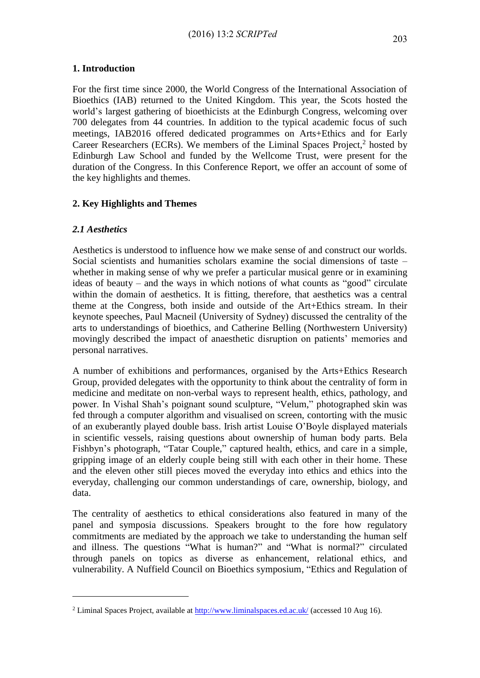For the first time since 2000, the World Congress of the International Association of Bioethics (IAB) returned to the United Kingdom. This year, the Scots hosted the world's largest gathering of bioethicists at the Edinburgh Congress, welcoming over 700 delegates from 44 countries. In addition to the typical academic focus of such meetings, IAB2016 offered dedicated programmes on Arts+Ethics and for Early Career Researchers (ECRs). We members of the Liminal Spaces Project,<sup>2</sup> hosted by Edinburgh Law School and funded by the Wellcome Trust, were present for the duration of the Congress. In this Conference Report, we offer an account of some of the key highlights and themes.

# **2. Key Highlights and Themes**

## *2.1 Aesthetics*

1

Aesthetics is understood to influence how we make sense of and construct our worlds. Social scientists and humanities scholars examine the social dimensions of taste – whether in making sense of why we prefer a particular musical genre or in examining ideas of beauty – and the ways in which notions of what counts as "good" circulate within the domain of aesthetics. It is fitting, therefore, that aesthetics was a central theme at the Congress, both inside and outside of the Art+Ethics stream. In their keynote speeches, Paul Macneil (University of Sydney) discussed the centrality of the arts to understandings of bioethics, and Catherine Belling (Northwestern University) movingly described the impact of anaesthetic disruption on patients' memories and personal narratives.

A number of exhibitions and performances, organised by the Arts+Ethics Research Group, provided delegates with the opportunity to think about the centrality of form in medicine and meditate on non-verbal ways to represent health, ethics, pathology, and power. In Vishal Shah's poignant sound sculpture, "Velum," photographed skin was fed through a computer algorithm and visualised on screen, contorting with the music of an exuberantly played double bass. Irish artist Louise O'Boyle displayed materials in scientific vessels, raising questions about ownership of human body parts. Bela Fishbyn's photograph, "Tatar Couple," captured health, ethics, and care in a simple, gripping image of an elderly couple being still with each other in their home. These and the eleven other still pieces moved the everyday into ethics and ethics into the everyday, challenging our common understandings of care, ownership, biology, and data.

The centrality of aesthetics to ethical considerations also featured in many of the panel and symposia discussions. Speakers brought to the fore how regulatory commitments are mediated by the approach we take to understanding the human self and illness. The questions "What is human?" and "What is normal?" circulated through panels on topics as diverse as enhancement, relational ethics, and vulnerability. A Nuffield Council on Bioethics symposium, "Ethics and Regulation of

<sup>2</sup> Liminal Spaces Project, available at<http://www.liminalspaces.ed.ac.uk/> (accessed 10 Aug 16).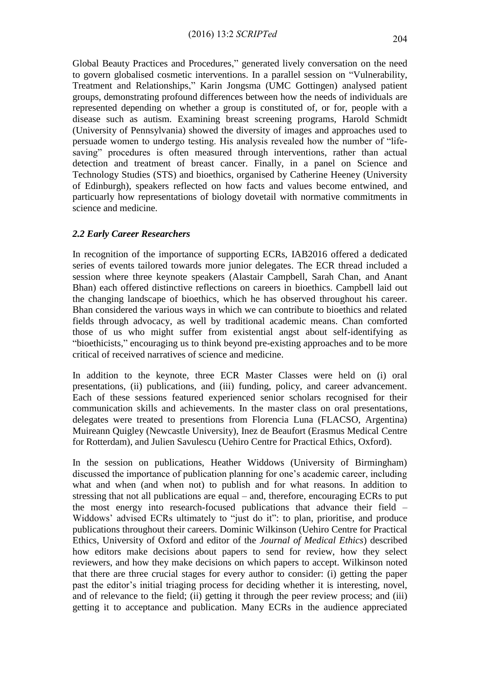Global Beauty Practices and Procedures," generated lively conversation on the need to govern globalised cosmetic interventions. In a parallel session on "Vulnerability, Treatment and Relationships," Karin Jongsma (UMC Gottingen) analysed patient groups, demonstrating profound differences between how the needs of individuals are represented depending on whether a group is constituted of, or for, people with a disease such as autism. Examining breast screening programs, Harold Schmidt (University of Pennsylvania) showed the diversity of images and approaches used to persuade women to undergo testing. His analysis revealed how the number of "lifesaving" procedures is often measured through interventions, rather than actual detection and treatment of breast cancer. Finally, in a panel on Science and Technology Studies (STS) and bioethics, organised by Catherine Heeney (University of Edinburgh), speakers reflected on how facts and values become entwined, and particuarly how representations of biology dovetail with normative commitments in science and medicine.

#### *2.2 Early Career Researchers*

In recognition of the importance of supporting ECRs, IAB2016 offered a dedicated series of events tailored towards more junior delegates. The ECR thread included a session where three keynote speakers (Alastair Campbell, Sarah Chan, and Anant Bhan) each offered distinctive reflections on careers in bioethics. Campbell laid out the changing landscape of bioethics, which he has observed throughout his career. Bhan considered the various ways in which we can contribute to bioethics and related fields through advocacy, as well by traditional academic means. Chan comforted those of us who might suffer from existential angst about self-identifying as "bioethicists," encouraging us to think beyond pre-existing approaches and to be more critical of received narratives of science and medicine.

In addition to the keynote, three ECR Master Classes were held on (i) oral presentations, (ii) publications, and (iii) funding, policy, and career advancement. Each of these sessions featured experienced senior scholars recognised for their communication skills and achievements. In the master class on oral presentations, delegates were treated to presentions from Florencia Luna (FLACSO, Argentina) Muireann Quigley (Newcastle University), Inez de Beaufort (Erasmus Medical Centre for Rotterdam), and Julien Savulescu (Uehiro Centre for Practical Ethics, Oxford).

In the session on publications, Heather Widdows (University of Birmingham) discussed the importance of publication planning for one's academic career, including what and when (and when not) to publish and for what reasons. In addition to stressing that not all publications are equal – and, therefore, encouraging ECRs to put the most energy into research-focused publications that advance their field – Widdows' advised ECRs ultimately to "just do it": to plan, prioritise, and produce publications throughout their careers. Dominic Wilkinson (Uehiro Centre for Practical Ethics, University of Oxford and editor of the *Journal of Medical Ethics*) described how editors make decisions about papers to send for review, how they select reviewers, and how they make decisions on which papers to accept. Wilkinson noted that there are three crucial stages for every author to consider: (i) getting the paper past the editor's initial triaging process for deciding whether it is interesting, novel, and of relevance to the field; (ii) getting it through the peer review process; and (iii) getting it to acceptance and publication. Many ECRs in the audience appreciated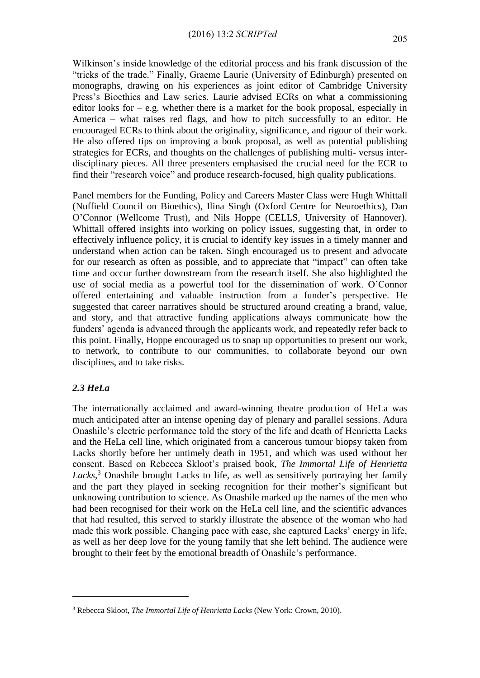Wilkinson's inside knowledge of the editorial process and his frank discussion of the "tricks of the trade." Finally, Graeme Laurie (University of Edinburgh) presented on monographs, drawing on his experiences as joint editor of Cambridge University Press's Bioethics and Law series. Laurie advised ECRs on what a commissioning editor looks for  $-$  e.g. whether there is a market for the book proposal, especially in America – what raises red flags, and how to pitch successfully to an editor. He encouraged ECRs to think about the originality, significance, and rigour of their work. He also offered tips on improving a book proposal, as well as potential publishing strategies for ECRs, and thoughts on the challenges of publishing multi- versus interdisciplinary pieces. All three presenters emphasised the crucial need for the ECR to find their "research voice" and produce research-focused, high quality publications.

Panel members for the Funding, Policy and Careers Master Class were Hugh Whittall (Nuffield Council on Bioethics), Ilina Singh (Oxford Centre for Neuroethics), Dan O'Connor (Wellcome Trust), and Nils Hoppe (CELLS, University of Hannover). Whittall offered insights into working on policy issues, suggesting that, in order to effectively influence policy, it is crucial to identify key issues in a timely manner and understand when action can be taken. Singh encouraged us to present and advocate for our research as often as possible, and to appreciate that "impact" can often take time and occur further downstream from the research itself. She also highlighted the use of social media as a powerful tool for the dissemination of work. O'Connor offered entertaining and valuable instruction from a funder's perspective. He suggested that career narratives should be structured around creating a brand, value, and story, and that attractive funding applications always communicate how the funders' agenda is advanced through the applicants work, and repeatedly refer back to this point. Finally, Hoppe encouraged us to snap up opportunities to present our work, to network, to contribute to our communities, to collaborate beyond our own disciplines, and to take risks.

## *2.3 HeLa*

1

The internationally acclaimed and award-winning theatre production of HeLa was much anticipated after an intense opening day of plenary and parallel sessions. Adura Onashile's electric performance told the story of the life and death of Henrietta Lacks and the HeLa cell line, which originated from a cancerous tumour biopsy taken from Lacks shortly before her untimely death in 1951, and which was used without her consent. Based on Rebecca Skloot's praised book, *The Immortal Life of Henrietta*  Lacks,<sup>3</sup> Onashile brought Lacks to life, as well as sensitively portraying her family and the part they played in seeking recognition for their mother's significant but unknowing contribution to science. As Onashile marked up the names of the men who had been recognised for their work on the HeLa cell line, and the scientific advances that had resulted, this served to starkly illustrate the absence of the woman who had made this work possible. Changing pace with ease, she captured Lacks' energy in life, as well as her deep love for the young family that she left behind. The audience were brought to their feet by the emotional breadth of Onashile's performance.

<sup>3</sup> Rebecca Skloot, *The Immortal Life of Henrietta Lacks* (New York: Crown, 2010).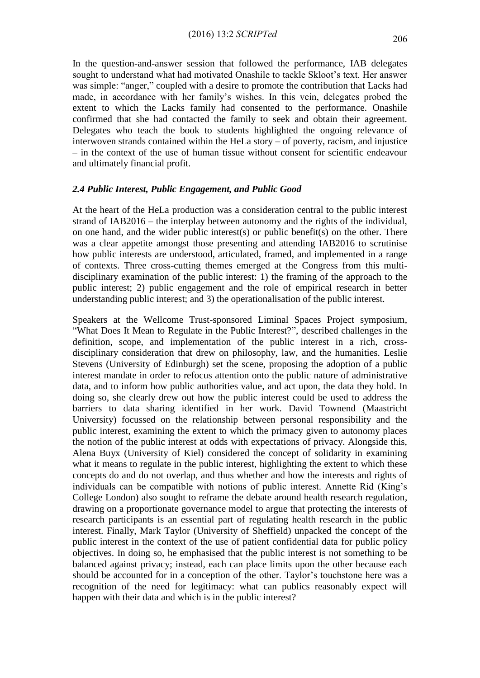In the question-and-answer session that followed the performance, IAB delegates sought to understand what had motivated Onashile to tackle Skloot's text. Her answer was simple: "anger," coupled with a desire to promote the contribution that Lacks had made, in accordance with her family's wishes. In this vein, delegates probed the extent to which the Lacks family had consented to the performance. Onashile confirmed that she had contacted the family to seek and obtain their agreement. Delegates who teach the book to students highlighted the ongoing relevance of interwoven strands contained within the HeLa story – of poverty, racism, and injustice – in the context of the use of human tissue without consent for scientific endeavour and ultimately financial profit.

#### *2.4 Public Interest, Public Engagement, and Public Good*

At the heart of the HeLa production was a consideration central to the public interest strand of IAB2016 – the interplay between autonomy and the rights of the individual, on one hand, and the wider public interest(s) or public benefit(s) on the other. There was a clear appetite amongst those presenting and attending IAB2016 to scrutinise how public interests are understood, articulated, framed, and implemented in a range of contexts. Three cross-cutting themes emerged at the Congress from this multidisciplinary examination of the public interest: 1) the framing of the approach to the public interest; 2) public engagement and the role of empirical research in better understanding public interest; and 3) the operationalisation of the public interest.

Speakers at the Wellcome Trust-sponsored Liminal Spaces Project symposium, "What Does It Mean to Regulate in the Public Interest?", described challenges in the definition, scope, and implementation of the public interest in a rich, crossdisciplinary consideration that drew on philosophy, law, and the humanities. Leslie Stevens (University of Edinburgh) set the scene, proposing the adoption of a public interest mandate in order to refocus attention onto the public nature of administrative data, and to inform how public authorities value, and act upon, the data they hold. In doing so, she clearly drew out how the public interest could be used to address the barriers to data sharing identified in her work. David Townend (Maastricht University) focussed on the relationship between personal responsibility and the public interest, examining the extent to which the primacy given to autonomy places the notion of the public interest at odds with expectations of privacy. Alongside this, Alena Buyx (University of Kiel) considered the concept of solidarity in examining what it means to regulate in the public interest, highlighting the extent to which these concepts do and do not overlap, and thus whether and how the interests and rights of individuals can be compatible with notions of public interest. Annette Rid (King's College London) also sought to reframe the debate around health research regulation, drawing on a proportionate governance model to argue that protecting the interests of research participants is an essential part of regulating health research in the public interest. Finally, Mark Taylor (University of Sheffield) unpacked the concept of the public interest in the context of the use of patient confidential data for public policy objectives. In doing so, he emphasised that the public interest is not something to be balanced against privacy; instead, each can place limits upon the other because each should be accounted for in a conception of the other. Taylor's touchstone here was a recognition of the need for legitimacy: what can publics reasonably expect will happen with their data and which is in the public interest?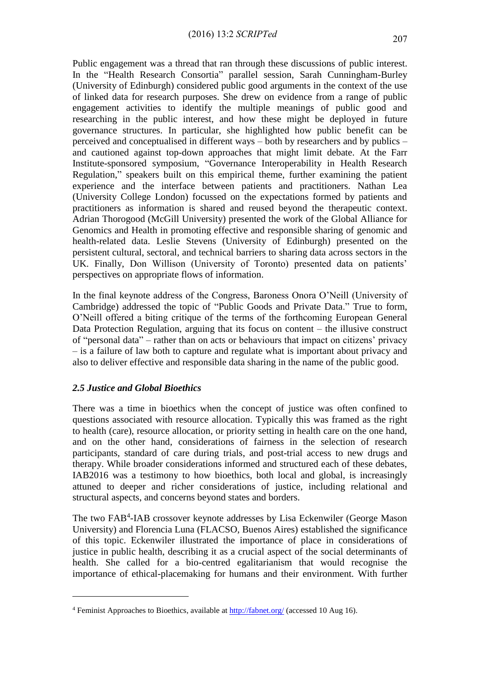Public engagement was a thread that ran through these discussions of public interest. In the "Health Research Consortia" parallel session, Sarah Cunningham-Burley (University of Edinburgh) considered public good arguments in the context of the use of linked data for research purposes. She drew on evidence from a range of public engagement activities to identify the multiple meanings of public good and researching in the public interest, and how these might be deployed in future governance structures. In particular, she highlighted how public benefit can be perceived and conceptualised in different ways – both by researchers and by publics – and cautioned against top-down approaches that might limit debate. At the Farr Institute-sponsored symposium, "Governance Interoperability in Health Research Regulation," speakers built on this empirical theme, further examining the patient experience and the interface between patients and practitioners. Nathan Lea (University College London) focussed on the expectations formed by patients and practitioners as information is shared and reused beyond the therapeutic context. Adrian Thorogood (McGill University) presented the work of the Global Alliance for Genomics and Health in promoting effective and responsible sharing of genomic and health-related data. Leslie Stevens (University of Edinburgh) presented on the persistent cultural, sectoral, and technical barriers to sharing data across sectors in the UK. Finally, Don Willison (University of Toronto) presented data on patients' perspectives on appropriate flows of information.

In the final keynote address of the Congress, Baroness Onora O'Neill (University of Cambridge) addressed the topic of "Public Goods and Private Data." True to form, O'Neill offered a biting critique of the terms of the forthcoming European General Data Protection Regulation, arguing that its focus on content – the illusive construct of "personal data" – rather than on acts or behaviours that impact on citizens' privacy – is a failure of law both to capture and regulate what is important about privacy and also to deliver effective and responsible data sharing in the name of the public good.

## *2.5 Justice and Global Bioethics*

1

There was a time in bioethics when the concept of justice was often confined to questions associated with resource allocation. Typically this was framed as the right to health (care), resource allocation, or priority setting in health care on the one hand, and on the other hand, considerations of fairness in the selection of research participants, standard of care during trials, and post-trial access to new drugs and therapy. While broader considerations informed and structured each of these debates, IAB2016 was a testimony to how bioethics, both local and global, is increasingly attuned to deeper and richer considerations of justice, including relational and structural aspects, and concerns beyond states and borders.

The two FAB<sup>4</sup>-IAB crossover keynote addresses by Lisa Eckenwiler (George Mason University) and Florencia Luna (FLACSO, Buenos Aires) established the significance of this topic. Eckenwiler illustrated the importance of place in considerations of justice in public health, describing it as a crucial aspect of the social determinants of health. She called for a bio-centred egalitarianism that would recognise the importance of ethical-placemaking for humans and their environment. With further

<sup>&</sup>lt;sup>4</sup> Feminist Approaches to Bioethics, available at<http://fabnet.org/> (accessed 10 Aug 16).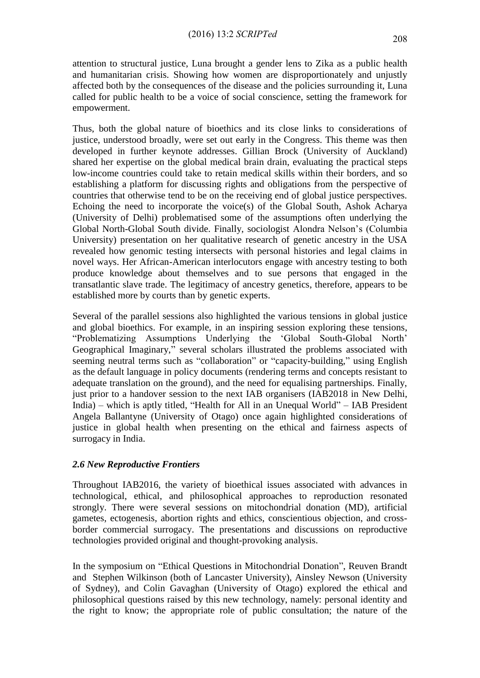attention to structural justice, Luna brought a gender lens to Zika as a public health and humanitarian crisis. Showing how women are disproportionately and unjustly affected both by the consequences of the disease and the policies surrounding it, Luna called for public health to be a voice of social conscience, setting the framework for empowerment.

Thus, both the global nature of bioethics and its close links to considerations of justice, understood broadly, were set out early in the Congress. This theme was then developed in further keynote addresses. Gillian Brock (University of Auckland) shared her expertise on the global medical brain drain, evaluating the practical steps low-income countries could take to retain medical skills within their borders, and so establishing a platform for discussing rights and obligations from the perspective of countries that otherwise tend to be on the receiving end of global justice perspectives. Echoing the need to incorporate the voice(s) of the Global South, Ashok Acharya (University of Delhi) problematised some of the assumptions often underlying the Global North-Global South divide. Finally, sociologist Alondra Nelson's (Columbia University) presentation on her qualitative research of genetic ancestry in the USA revealed how genomic testing intersects with personal histories and legal claims in novel ways. Her African-American interlocutors engage with ancestry testing to both produce knowledge about themselves and to sue persons that engaged in the transatlantic slave trade. The legitimacy of ancestry genetics, therefore, appears to be established more by courts than by genetic experts.

Several of the parallel sessions also highlighted the various tensions in global justice and global bioethics. For example, in an inspiring session exploring these tensions, "Problematizing Assumptions Underlying the 'Global South-Global North' Geographical Imaginary," several scholars illustrated the problems associated with seeming neutral terms such as "collaboration" or "capacity-building," using English as the default language in policy documents (rendering terms and concepts resistant to adequate translation on the ground), and the need for equalising partnerships. Finally, just prior to a handover session to the next IAB organisers (IAB2018 in New Delhi, India) – which is aptly titled, "Health for All in an Unequal World" – IAB President Angela Ballantyne (University of Otago) once again highlighted considerations of justice in global health when presenting on the ethical and fairness aspects of surrogacy in India.

## *2.6 New Reproductive Frontiers*

Throughout IAB2016, the variety of bioethical issues associated with advances in technological, ethical, and philosophical approaches to reproduction resonated strongly. There were several sessions on mitochondrial donation (MD), artificial gametes, ectogenesis, abortion rights and ethics, conscientious objection, and crossborder commercial surrogacy. The presentations and discussions on reproductive technologies provided original and thought-provoking analysis.

In the symposium on "Ethical Questions in Mitochondrial Donation", Reuven Brandt and Stephen Wilkinson (both of Lancaster University), Ainsley Newson (University of Sydney), and Colin Gavaghan (University of Otago) explored the ethical and philosophical questions raised by this new technology, namely: personal identity and the right to know; the appropriate role of public consultation; the nature of the